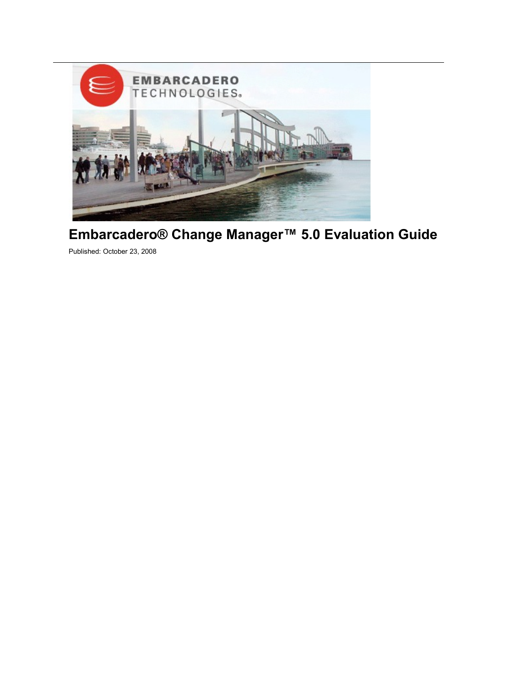

# **Embarcadero® Change Manager™ 5.0 Evaluation Guide**

Published: October 23, 2008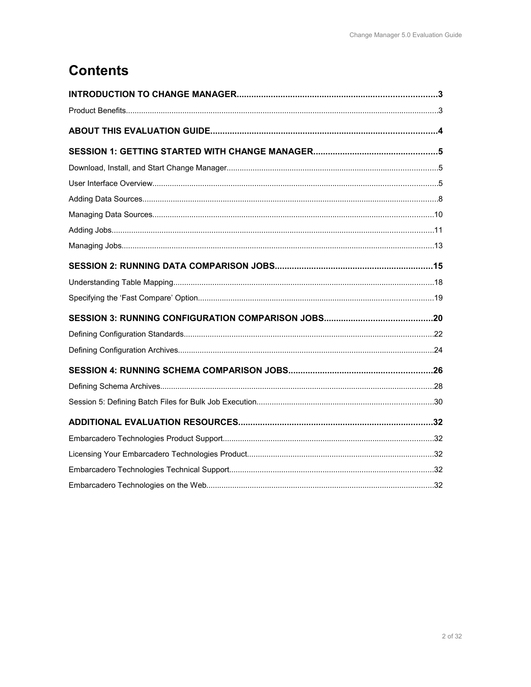# **Contents**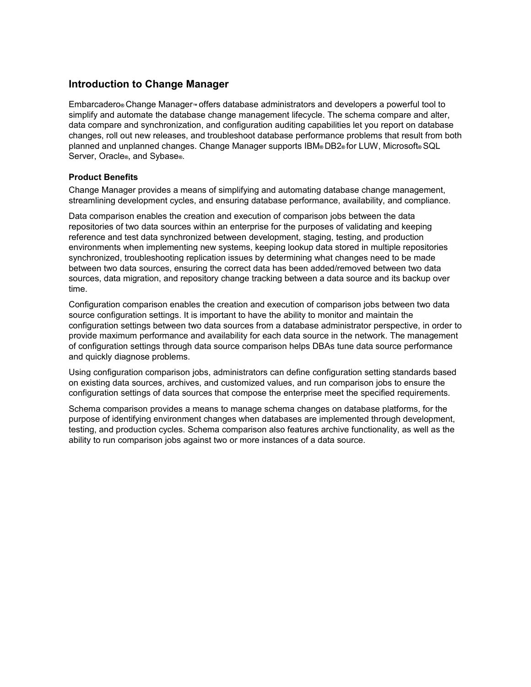# **Introduction to Change Manager**

Embarcadero**®** Change Manager**™** offers database administrators and developers a powerful tool to simplify and automate the database change management lifecycle. The schema compare and alter, data compare and synchronization, and configuration auditing capabilities let you report on database changes, roll out new releases, and troubleshoot database performance problems that result from both planned and unplanned changes. Change Manager supports IBM**®** DB2**®** for LUW, Microsoft**®** SQL Server, Oracle**®**, and Sybase**®**.

### **Product Benefits**

Change Manager provides a means of simplifying and automating database change management, streamlining development cycles, and ensuring database performance, availability, and compliance.

Data comparison enables the creation and execution of comparison jobs between the data repositories of two data sources within an enterprise for the purposes of validating and keeping reference and test data synchronized between development, staging, testing, and production environments when implementing new systems, keeping lookup data stored in multiple repositories synchronized, troubleshooting replication issues by determining what changes need to be made between two data sources, ensuring the correct data has been added/removed between two data sources, data migration, and repository change tracking between a data source and its backup over time.

Configuration comparison enables the creation and execution of comparison jobs between two data source configuration settings. It is important to have the ability to monitor and maintain the configuration settings between two data sources from a database administrator perspective, in order to provide maximum performance and availability for each data source in the network. The management of configuration settings through data source comparison helps DBAs tune data source performance and quickly diagnose problems.

Using configuration comparison jobs, administrators can define configuration setting standards based on existing data sources, archives, and customized values, and run comparison jobs to ensure the configuration settings of data sources that compose the enterprise meet the specified requirements.

Schema comparison provides a means to manage schema changes on database platforms, for the purpose of identifying environment changes when databases are implemented through development, testing, and production cycles. Schema comparison also features archive functionality, as well as the ability to run comparison jobs against two or more instances of a data source.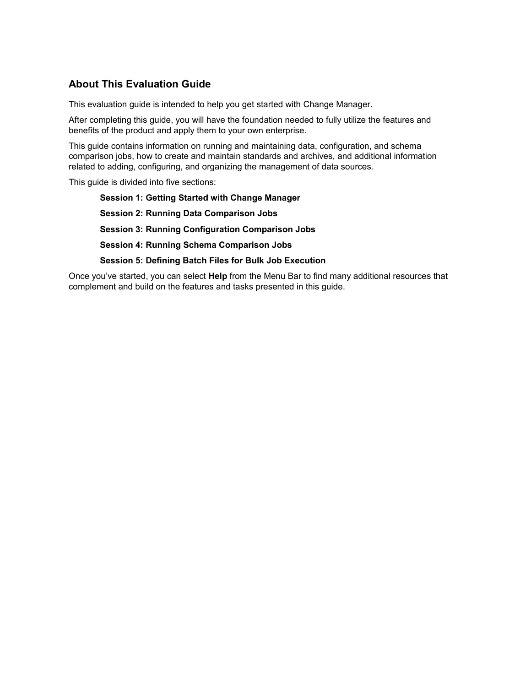# **About This Evaluation Guide**

This evaluation guide is intended to help you get started with Change Manager.

After completing this guide, you will have the foundation needed to fully utilize the features and benefits of the product and apply them to your own enterprise.

This guide contains information on running and maintaining data, configuration, and schema comparison jobs, how to create and maintain standards and archives, and additional information related to adding, configuring, and organizing the management of data sources.

This guide is divided into five sections:

**Session 1: Getting Started with Change Manager Session 2: Running Data Comparison Jobs Session 3: Running Configuration Comparison Jobs Session 4: Running Schema Comparison Jobs Session 5: Defining Batch Files for Bulk Job Execution**

Once you've started, you can select **Help** from the Menu Bar to find many additional resources that complement and build on the features and tasks presented in this guide.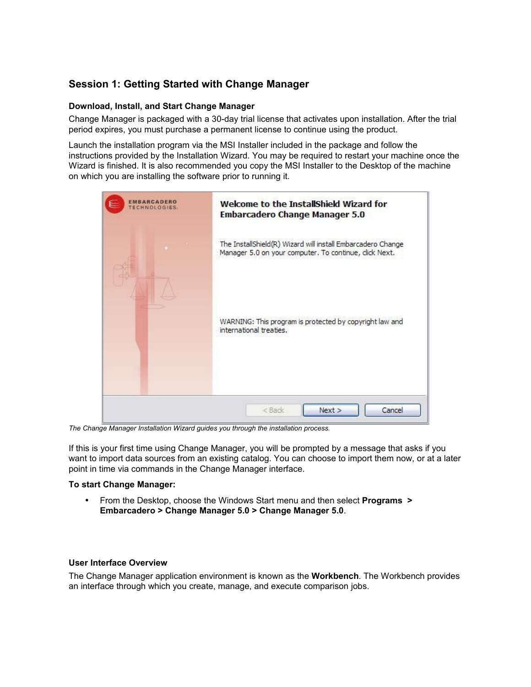# **Session 1: Getting Started with Change Manager**

### **Download, Install, and Start Change Manager**

Change Manager is packaged with a 30-day trial license that activates upon installation. After the trial period expires, you must purchase a permanent license to continue using the product.

Launch the installation program via the MSI Installer included in the package and follow the instructions provided by the Installation Wizard. You may be required to restart your machine once the Wizard is finished. It is also recommended you copy the MSI Installer to the Desktop of the machine on which you are installing the software prior to running it.



*The Change Manager Installation Wizard guides you through the installation process.*

If this is your first time using Change Manager, you will be prompted by a message that asks if you want to import data sources from an existing catalog. You can choose to import them now, or at a later point in time via commands in the Change Manager interface.

### **To start Change Manager:**

• From the Desktop, choose the Windows Start menu and then select **Programs > Embarcadero > Change Manager 5.0 > Change Manager 5.0**.

### **User Interface Overview**

The Change Manager application environment is known as the **Workbench**. The Workbench provides an interface through which you create, manage, and execute comparison jobs.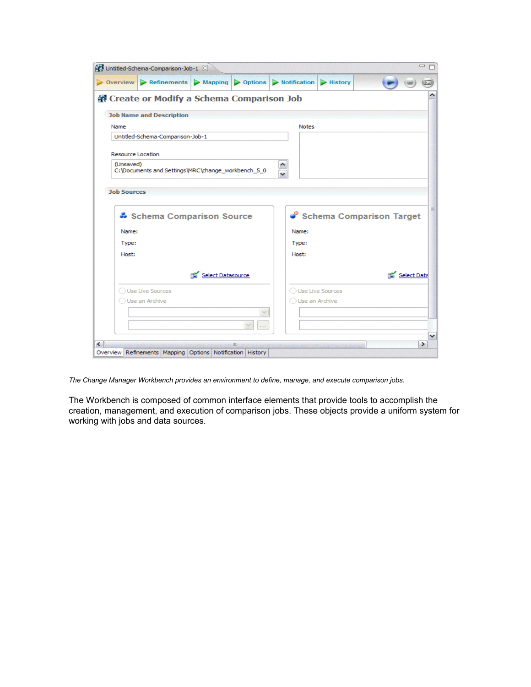|                          | $\triangleright$ Overview $\triangleright$ Refinements $\triangleright$ Mapping $\triangleright$ Options $\triangleright$ Notification |                           |          |                                        | $\blacktriangleright$ History |      |             |
|--------------------------|----------------------------------------------------------------------------------------------------------------------------------------|---------------------------|----------|----------------------------------------|-------------------------------|------|-------------|
|                          | Create or Modify a Schema Comparison Job                                                                                               |                           |          |                                        |                               |      |             |
|                          | <b>Job Name and Description</b>                                                                                                        |                           |          |                                        |                               |      |             |
| Name                     |                                                                                                                                        |                           |          | <b>Notes</b>                           |                               |      |             |
|                          | Untitled-Schema-Comparison-Job-1                                                                                                       |                           |          |                                        |                               |      |             |
| <b>Resource Location</b> |                                                                                                                                        |                           |          |                                        |                               |      |             |
| (Unsaved)                |                                                                                                                                        |                           |          |                                        |                               |      |             |
|                          | C: \Documents and Settings\MRC\change_workbench_5_0                                                                                    |                           |          |                                        |                               |      |             |
| <b>Job Sources</b>       |                                                                                                                                        |                           |          |                                        |                               |      |             |
|                          |                                                                                                                                        |                           |          |                                        |                               |      |             |
|                          |                                                                                                                                        |                           |          |                                        |                               |      |             |
|                          | Schema Comparison Source                                                                                                               |                           |          |                                        | Schema Comparison Target      |      |             |
| Name:                    |                                                                                                                                        |                           |          | Name:                                  |                               |      |             |
| Type:                    |                                                                                                                                        |                           |          | Type:                                  |                               |      |             |
| Host:                    |                                                                                                                                        |                           |          | Host:                                  |                               |      |             |
|                          |                                                                                                                                        |                           |          |                                        |                               | EN 1 |             |
|                          |                                                                                                                                        | Select Datasource<br>EM 1 |          |                                        |                               |      |             |
|                          | ◯ Use Live Sources<br>◯ Use an Archive                                                                                                 |                           |          | ◯ Use Live Sources<br>◯ Use an Archive |                               |      |             |
|                          |                                                                                                                                        |                           |          |                                        |                               |      | Select Data |
|                          |                                                                                                                                        |                           | $\cdots$ |                                        |                               |      |             |

*The Change Manager Workbench provides an environment to define, manage, and execute comparison jobs.*

The Workbench is composed of common interface elements that provide tools to accomplish the creation, management, and execution of comparison jobs. These objects provide a uniform system for working with jobs and data sources.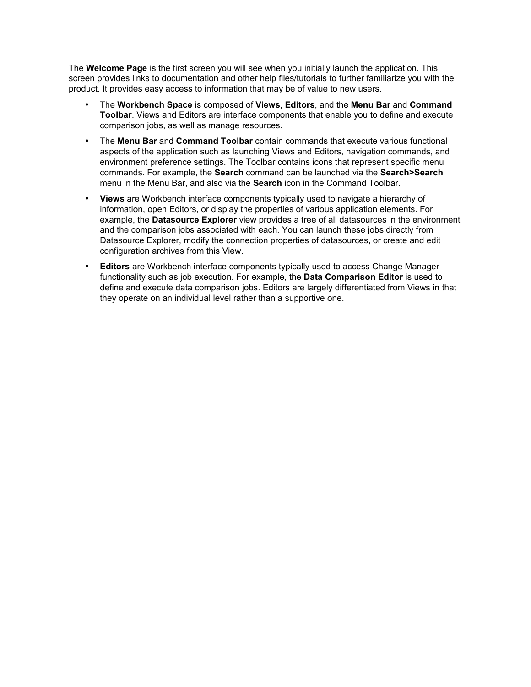The **Welcome Page** is the first screen you will see when you initially launch the application. This screen provides links to documentation and other help files/tutorials to further familiarize you with the product. It provides easy access to information that may be of value to new users.

- The **Workbench Space** is composed of **Views**, **Editors**, and the **Menu Bar** and **Command Toolbar**. Views and Editors are interface components that enable you to define and execute comparison jobs, as well as manage resources.
- The **Menu Bar** and **Command Toolbar** contain commands that execute various functional aspects of the application such as launching Views and Editors, navigation commands, and environment preference settings. The Toolbar contains icons that represent specific menu commands. For example, the **Search** command can be launched via the **Search>Search** menu in the Menu Bar, and also via the **Search** icon in the Command Toolbar.
- **Views** are Workbench interface components typically used to navigate a hierarchy of information, open Editors, or display the properties of various application elements. For example, the **Datasource Explorer** view provides a tree of all datasources in the environment and the comparison jobs associated with each. You can launch these jobs directly from Datasource Explorer, modify the connection properties of datasources, or create and edit configuration archives from this View.
- **Editors** are Workbench interface components typically used to access Change Manager functionality such as job execution. For example, the **Data Comparison Editor** is used to define and execute data comparison jobs. Editors are largely differentiated from Views in that they operate on an individual level rather than a supportive one.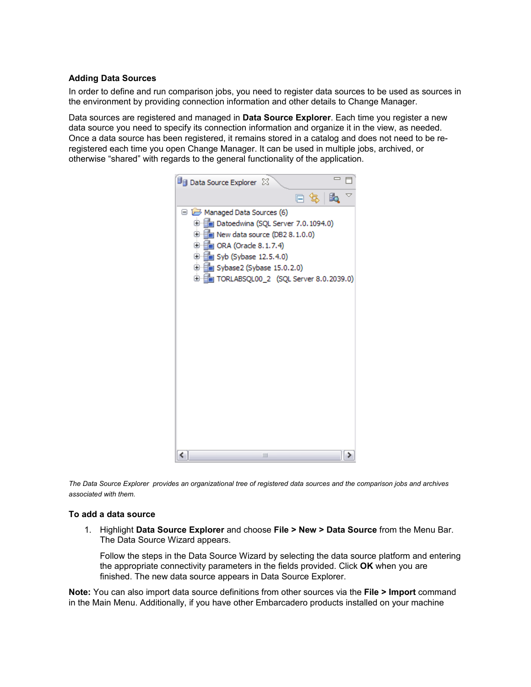### **Adding Data Sources**

In order to define and run comparison jobs, you need to register data sources to be used as sources in the environment by providing connection information and other details to Change Manager.

Data sources are registered and managed in **Data Source Explorer**. Each time you register a new data source you need to specify its connection information and organize it in the view, as needed. Once a data source has been registered, it remains stored in a catalog and does not need to be reregistered each time you open Change Manager. It can be used in multiple jobs, archived, or otherwise "shared" with regards to the general functionality of the application.



*The Data Source Explorer provides an organizational tree of registered data sources and the comparison jobs and archives associated with them.*

#### **To add a data source**

1. Highlight **Data Source Explorer** and choose **File > New > Data Source** from the Menu Bar. The Data Source Wizard appears.

Follow the steps in the Data Source Wizard by selecting the data source platform and entering the appropriate connectivity parameters in the fields provided. Click **OK** when you are finished. The new data source appears in Data Source Explorer.

**Note:** You can also import data source definitions from other sources via the **File > Import** command in the Main Menu. Additionally, if you have other Embarcadero products installed on your machine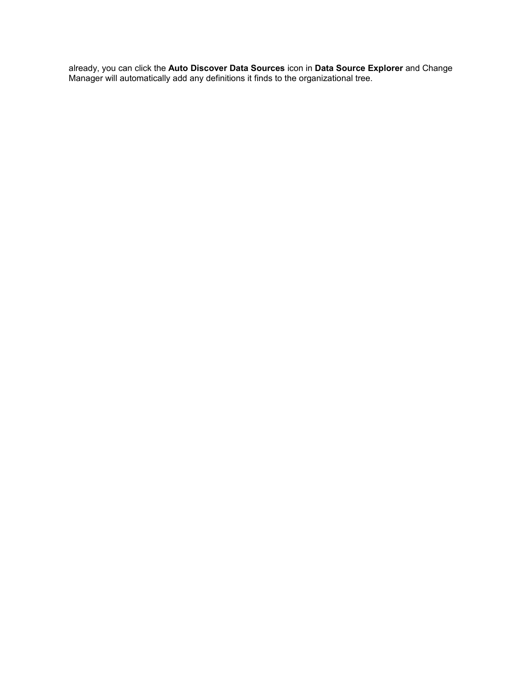already, you can click the **Auto Discover Data Sources** icon in **Data Source Explorer** and Change Manager will automatically add any definitions it finds to the organizational tree.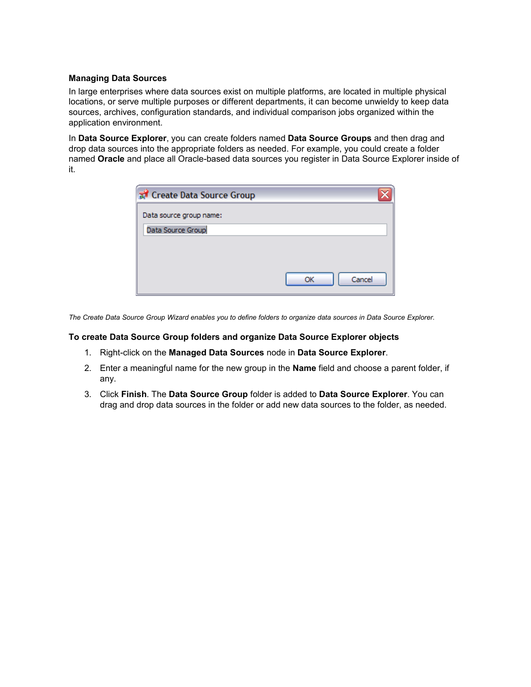### **Managing Data Sources**

In large enterprises where data sources exist on multiple platforms, are located in multiple physical locations, or serve multiple purposes or different departments, it can become unwieldy to keep data sources, archives, configuration standards, and individual comparison jobs organized within the application environment.

In **Data Source Explorer**, you can create folders named **Data Source Groups** and then drag and drop data sources into the appropriate folders as needed. For example, you could create a folder named **Oracle** and place all Oracle-based data sources you register in Data Source Explorer inside of it.

| Create Data Source Group |              |
|--------------------------|--------------|
| Data source group name:  |              |
| Data Source Group        |              |
|                          |              |
|                          |              |
|                          | Cancel<br>OK |
|                          |              |

*The Create Data Source Group Wizard enables you to define folders to organize data sources in Data Source Explorer.*

### **To create Data Source Group folders and organize Data Source Explorer objects**

- 1. Right-click on the **Managed Data Sources** node in **Data Source Explorer**.
- 2. Enter a meaningful name for the new group in the **Name** field and choose a parent folder, if any.
- 3. Click **Finish**. The **Data Source Group** folder is added to **Data Source Explorer**. You can drag and drop data sources in the folder or add new data sources to the folder, as needed.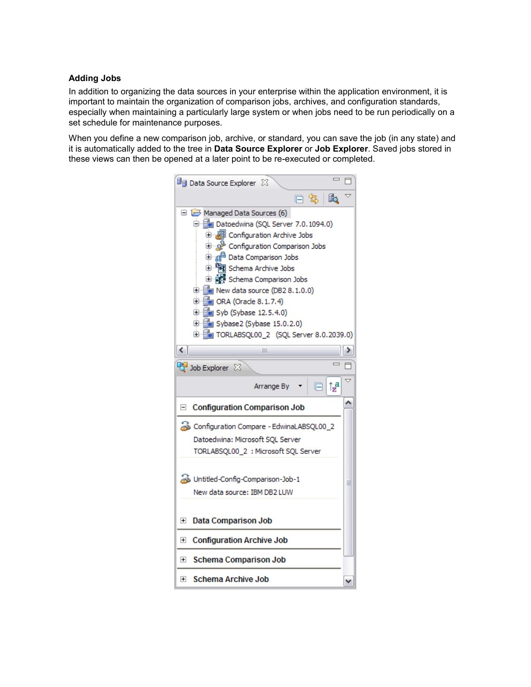### **Adding Jobs**

In addition to organizing the data sources in your enterprise within the application environment, it is important to maintain the organization of comparison jobs, archives, and configuration standards, especially when maintaining a particularly large system or when jobs need to be run periodically on a set schedule for maintenance purposes.

When you define a new comparison job, archive, or standard, you can save the job (in any state) and it is automatically added to the tree in **Data Source Explorer** or **Job Explorer**. Saved jobs stored in these views can then be opened at a later point to be re-executed or completed.

| <b>D<sub>B</sub></b> Data Source Explorer $\boxtimes$                                                                                                                                                                                                                                                                                                                                                                                                                                                            |   |
|------------------------------------------------------------------------------------------------------------------------------------------------------------------------------------------------------------------------------------------------------------------------------------------------------------------------------------------------------------------------------------------------------------------------------------------------------------------------------------------------------------------|---|
| £.<br>口 包                                                                                                                                                                                                                                                                                                                                                                                                                                                                                                        |   |
| Managed Data Sources (6)<br>□ Em Datoedwina (SQL Server 7.0.1094.0)<br>中  Configuration Archive Jobs<br><sup>ெ</sup> ஜ <sup>ே</sup> Configuration Comparison Jobs<br><b>D</b> a <sup>6</sup> Data Comparison Jobs<br>中 · Pay Schema Archive Jobs<br>⊕ <i>- बुँ</i> छुँ Schema Comparison Jobs<br><b>D</b> - <b>F</b> New data source (DB2 8.1.0.0)<br><b>D</b> En ORA (Oracle 8.1.7.4)<br><b>E</b> Syb (Sybase 12.5.4.0)<br><b>E</b> Sybase2 (Sybase 15.0.2.0)<br><b>E</b> TORLABSQL00_2 (SQL Server 8.0.2039.0) |   |
| $\left\langle \right\rangle$<br>Ш                                                                                                                                                                                                                                                                                                                                                                                                                                                                                | ≯ |
| Job Explorer $\boxtimes$                                                                                                                                                                                                                                                                                                                                                                                                                                                                                         |   |
| ្ល្រា<br>Arrange By                                                                                                                                                                                                                                                                                                                                                                                                                                                                                              |   |
| <b>Configuration Comparison Job</b><br>E                                                                                                                                                                                                                                                                                                                                                                                                                                                                         |   |
| & Configuration Compare - EdwinaLABSQL00_2<br>Datoedwina: Microsoft SQL Server<br>TORLABSQL00_2 : Microsoft SQL Server<br>Untitled-Config-Comparison-Job-1<br>New data source: IBM DB2 LUW                                                                                                                                                                                                                                                                                                                       | ≣ |
| <b>Data Comparison Job</b><br>$\left  + \right $<br><b>Configuration Archive Job</b><br>$\overline{\mathbf{H}}$                                                                                                                                                                                                                                                                                                                                                                                                  |   |
|                                                                                                                                                                                                                                                                                                                                                                                                                                                                                                                  |   |
| <b>Schema Comparison Job</b><br>$\overline{+}$                                                                                                                                                                                                                                                                                                                                                                                                                                                                   |   |
| <b>Schema Archive Job</b><br>$\overline{+}$                                                                                                                                                                                                                                                                                                                                                                                                                                                                      |   |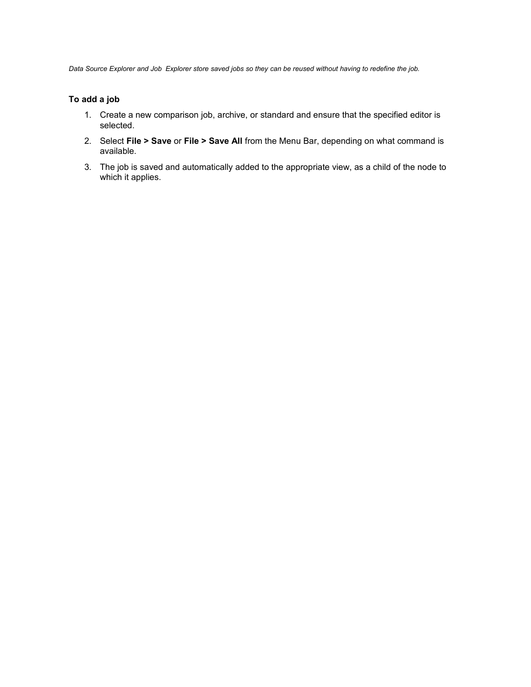*Data Source Explorer and Job Explorer store saved jobs so they can be reused without having to redefine the job.*

### **To add a job**

- 1. Create a new comparison job, archive, or standard and ensure that the specified editor is selected.
- 2. Select **File > Save** or **File > Save All** from the Menu Bar, depending on what command is available.
- 3. The job is saved and automatically added to the appropriate view, as a child of the node to which it applies.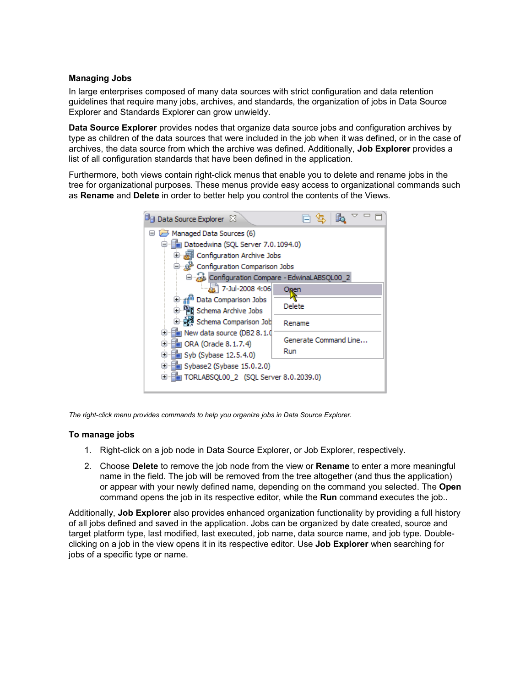### **Managing Jobs**

In large enterprises composed of many data sources with strict configuration and data retention guidelines that require many jobs, archives, and standards, the organization of jobs in Data Source Explorer and Standards Explorer can grow unwieldy.

**Data Source Explorer** provides nodes that organize data source jobs and configuration archives by type as children of the data sources that were included in the job when it was defined, or in the case of archives, the data source from which the archive was defined. Additionally, **Job Explorer** provides a list of all configuration standards that have been defined in the application.

Furthermore, both views contain right-click menus that enable you to delete and rename jobs in the tree for organizational purposes. These menus provide easy access to organizational commands such as **Rename** and **Delete** in order to better help you control the contents of the Views.

*The right-click menu provides commands to help you organize jobs in Data Source Explorer.*

### **To manage jobs**

- 1. Right-click on a job node in Data Source Explorer, or Job Explorer, respectively.
- 2. Choose **Delete** to remove the job node from the view or **Rename** to enter a more meaningful name in the field. The job will be removed from the tree altogether (and thus the application) or appear with your newly defined name, depending on the command you selected. The **Open** command opens the job in its respective editor, while the **Run** command executes the job..

Additionally, **Job Explorer** also provides enhanced organization functionality by providing a full history of all jobs defined and saved in the application. Jobs can be organized by date created, source and target platform type, last modified, last executed, job name, data source name, and job type. Doubleclicking on a job in the view opens it in its respective editor. Use **Job Explorer** when searching for jobs of a specific type or name.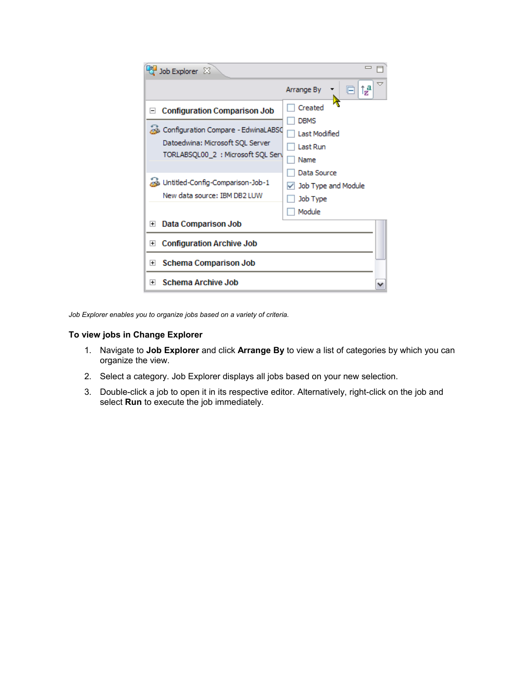| Job Explorer 23                                                                                                                                                                                       |                                                                                   |
|-------------------------------------------------------------------------------------------------------------------------------------------------------------------------------------------------------|-----------------------------------------------------------------------------------|
|                                                                                                                                                                                                       | ▽<br>Ť, <sup>a</sup><br>Arrange By                                                |
| <b>Configuration Comparison Job</b><br>$\mathord{\hspace{1pt}\text{--}\hspace{1pt}}$<br>Configuration Compare - EdwinaLABSO<br>Datoedwina: Microsoft SQL Server<br>TORLABSQL00_2 : Microsoft SQL Serv | Created<br><b>DBMS</b><br>Last Modified<br><b>Last Run</b><br>Name<br>Data Source |
| www.Untitled-Config-Comparison-Job-1<br>New data source: IBM DB2 LUW                                                                                                                                  | Job Type and Module<br>Job Type<br>Module                                         |
| Data Comparison Job<br>$\overline{+}$                                                                                                                                                                 |                                                                                   |
| <b>Configuration Archive Job</b><br>$\left  + \right $                                                                                                                                                |                                                                                   |
| <b>Schema Comparison Job</b><br>$\overline{+}$                                                                                                                                                        |                                                                                   |
| <b>Schema Archive Job</b><br>$+$                                                                                                                                                                      |                                                                                   |

*Job Explorer enables you to organize jobs based on a variety of criteria.*

### **To view jobs in Change Explorer**

- 1. Navigate to **Job Explorer** and click **Arrange By** to view a list of categories by which you can organize the view.
- 2. Select a category. Job Explorer displays all jobs based on your new selection.
- 3. Double-click a job to open it in its respective editor. Alternatively, right-click on the job and select **Run** to execute the job immediately.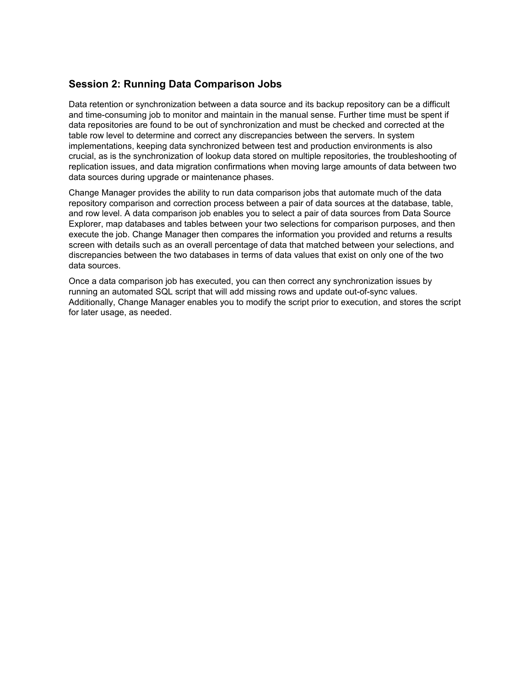# **Session 2: Running Data Comparison Jobs**

Data retention or synchronization between a data source and its backup repository can be a difficult and time-consuming job to monitor and maintain in the manual sense. Further time must be spent if data repositories are found to be out of synchronization and must be checked and corrected at the table row level to determine and correct any discrepancies between the servers. In system implementations, keeping data synchronized between test and production environments is also crucial, as is the synchronization of lookup data stored on multiple repositories, the troubleshooting of replication issues, and data migration confirmations when moving large amounts of data between two data sources during upgrade or maintenance phases.

Change Manager provides the ability to run data comparison jobs that automate much of the data repository comparison and correction process between a pair of data sources at the database, table, and row level. A data comparison job enables you to select a pair of data sources from Data Source Explorer, map databases and tables between your two selections for comparison purposes, and then execute the job. Change Manager then compares the information you provided and returns a results screen with details such as an overall percentage of data that matched between your selections, and discrepancies between the two databases in terms of data values that exist on only one of the two data sources.

Once a data comparison job has executed, you can then correct any synchronization issues by running an automated SQL script that will add missing rows and update out-of-sync values. Additionally, Change Manager enables you to modify the script prior to execution, and stores the script for later usage, as needed.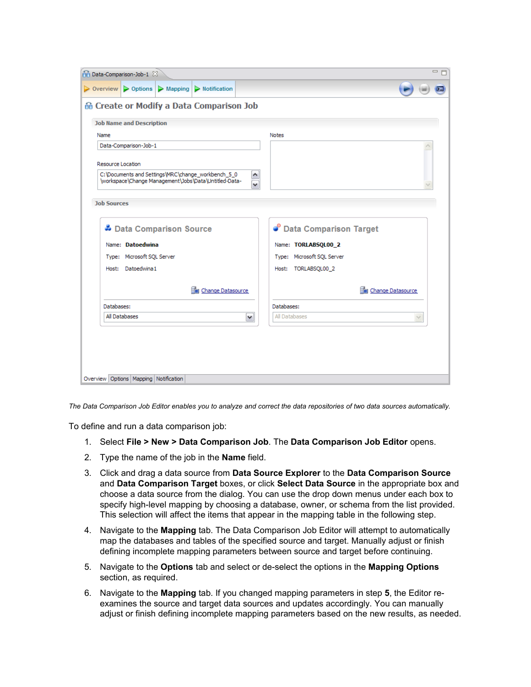| $\triangleright$ Options $\triangleright$ Mapping $\triangleright$ Notification<br>$\triangleright$ Overview                                     |                                 |
|--------------------------------------------------------------------------------------------------------------------------------------------------|---------------------------------|
|                                                                                                                                                  |                                 |
| 命 Create or Modify a Data Comparison Job                                                                                                         |                                 |
| <b>Job Name and Description</b>                                                                                                                  |                                 |
| Name                                                                                                                                             | <b>Notes</b>                    |
| Data-Comparison-Job-1                                                                                                                            |                                 |
| Resource Location<br>C:\Documents and Settings\MRC\change_workbench_5_0<br>\workspace\Change Management\Jobs\Data\Untitled-Data-<br>$\checkmark$ |                                 |
| <b>Job Sources</b>                                                                                                                               |                                 |
| Data Comparison Source                                                                                                                           | <b>C</b> Data Comparison Target |
| Name: Datoedwina                                                                                                                                 | Name: TORLABSQL00_2             |
| Type: Microsoft SQL Server                                                                                                                       | Type: Microsoft SQL Server      |
| Host: Datoedwina1                                                                                                                                | Host: TORLABSQL00 2             |
| Change Datasource                                                                                                                                | <b>Em</b> Change Datasource     |
| Databases:                                                                                                                                       | Databases:                      |
| All Databases<br>M                                                                                                                               | All Databases<br>$\sim$         |

*The Data Comparison Job Editor enables you to analyze and correct the data repositories of two data sources automatically.*

To define and run a data comparison job:

- 1. Select **File > New > Data Comparison Job**. The **Data Comparison Job Editor** opens.
- 2. Type the name of the job in the **Name** field.
- 3. Click and drag a data source from **Data Source Explorer** to the **Data Comparison Source** and **Data Comparison Target** boxes, or click **Select Data Source** in the appropriate box and choose a data source from the dialog. You can use the drop down menus under each box to specify high-level mapping by choosing a database, owner, or schema from the list provided. This selection will affect the items that appear in the mapping table in the following step.
- 4. Navigate to the **Mapping** tab. The Data Comparison Job Editor will attempt to automatically map the databases and tables of the specified source and target. Manually adjust or finish defining incomplete mapping parameters between source and target before continuing.
- 5. Navigate to the **Options** tab and select or de-select the options in the **Mapping Options** section, as required.
- 6. Navigate to the **Mapping** tab. If you changed mapping parameters in step **5**, the Editor reexamines the source and target data sources and updates accordingly. You can manually adjust or finish defining incomplete mapping parameters based on the new results, as needed.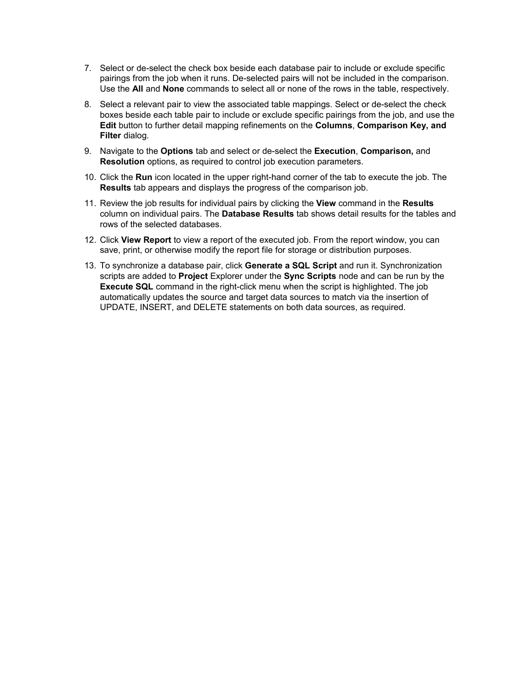- 7. Select or de-select the check box beside each database pair to include or exclude specific pairings from the job when it runs. De-selected pairs will not be included in the comparison. Use the **All** and **None** commands to select all or none of the rows in the table, respectively.
- 8. Select a relevant pair to view the associated table mappings. Select or de-select the check boxes beside each table pair to include or exclude specific pairings from the job, and use the **Edit** button to further detail mapping refinements on the **Columns**, **Comparison Key, and Filter** dialog.
- 9. Navigate to the **Options** tab and select or de-select the **Execution**, **Comparison,** and **Resolution** options, as required to control job execution parameters.
- 10. Click the **Run** icon located in the upper right-hand corner of the tab to execute the job. The **Results** tab appears and displays the progress of the comparison job.
- 11. Review the job results for individual pairs by clicking the **View** command in the **Results** column on individual pairs. The **Database Results** tab shows detail results for the tables and rows of the selected databases.
- 12. Click **View Report** to view a report of the executed job. From the report window, you can save, print, or otherwise modify the report file for storage or distribution purposes.
- 13. To synchronize a database pair, click **Generate a SQL Script** and run it. Synchronization scripts are added to **Project** Explorer under the **Sync Scripts** node and can be run by the **Execute SQL** command in the right-click menu when the script is highlighted. The job automatically updates the source and target data sources to match via the insertion of UPDATE, INSERT, and DELETE statements on both data sources, as required.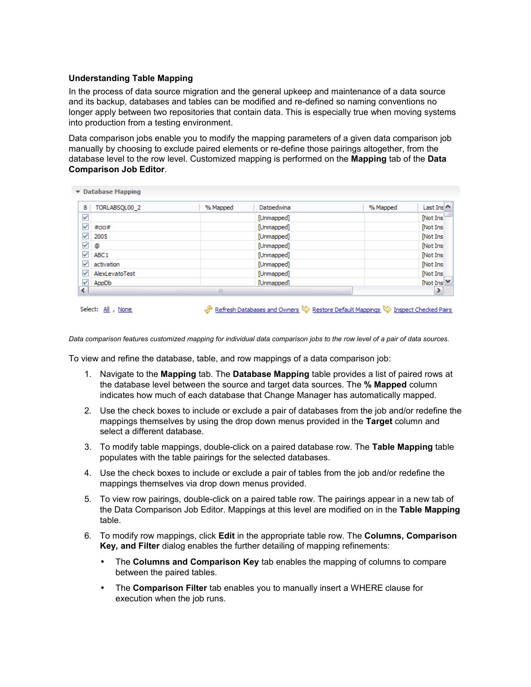### **Understanding Table Mapping**

In the process of data source migration and the general upkeep and maintenance of a data source and its backup, databases and tables can be modified and re-defined so naming conventions no longer apply between two repositories that contain data. This is especially true when moving systems into production from a testing environment.

Data comparison jobs enable you to modify the mapping parameters of a given data comparison job manually by choosing to exclude paired elements or re-define those pairings altogether, from the database level to the row level. Customized mapping is performed on the **Mapping** tab of the **Data Comparison Job Editor**.

| 8.<br>TORLABSQL00_2              | % Mapped | Datoedwina | % Mapped | Last Ins                |
|----------------------------------|----------|------------|----------|-------------------------|
| $\checkmark$                     |          | [Unmapped] |          | [Not Ins]               |
| ✓<br>#cici#                      |          | [Unmapped] |          | [Not Ins                |
| $\checkmark$<br>2005             |          | [Unmapped] |          | Not Ins                 |
| $\checkmark$<br>۵                |          | [Unmapped] |          | [Not Ins                |
| $\checkmark$<br>ABC <sub>1</sub> |          | [Unmapped] |          | Not Ins                 |
| $\checkmark$<br>activation       |          | [Unmapped] |          | [Not Ins                |
| ✓<br>AlexLevatoTest              |          | [Unmapped] |          | Not Ins                 |
| $\overline{\checkmark}$<br>AppDb |          | [Unmapped] |          | [Not Ins <sup>1</sup> ] |
| ≺                                | Ш        |            |          |                         |

Select: All , None

Refresh Databases and Owners & Restore Default Mappings & Inspect Checked Pairs

*Data comparison features customized mapping for individual data comparison jobs to the row level of a pair of data sources.*

To view and refine the database, table, and row mappings of a data comparison job:

- 1. Navigate to the **Mapping** tab. The **Database Mapping** table provides a list of paired rows at the database level between the source and target data sources. The **% Mapped** column indicates how much of each database that Change Manager has automatically mapped.
- 2. Use the check boxes to include or exclude a pair of databases from the job and/or redefine the mappings themselves by using the drop down menus provided in the **Target** column and select a different database.
- 3. To modify table mappings, double-click on a paired database row. The **Table Mapping** table populates with the table pairings for the selected databases.
- 4. Use the check boxes to include or exclude a pair of tables from the job and/or redefine the mappings themselves via drop down menus provided.
- 5. To view row pairings, double-click on a paired table row. The pairings appear in a new tab of the Data Comparison Job Editor. Mappings at this level are modified on in the **Table Mapping** table.
- 6. To modify row mappings, click **Edit** in the appropriate table row. The **Columns, Comparison Key, and Filter** dialog enables the further detailing of mapping refinements:
	- The **Columns and Comparison Key** tab enables the mapping of columns to compare between the paired tables.
	- The **Comparison Filter** tab enables you to manually insert a WHERE clause for execution when the job runs.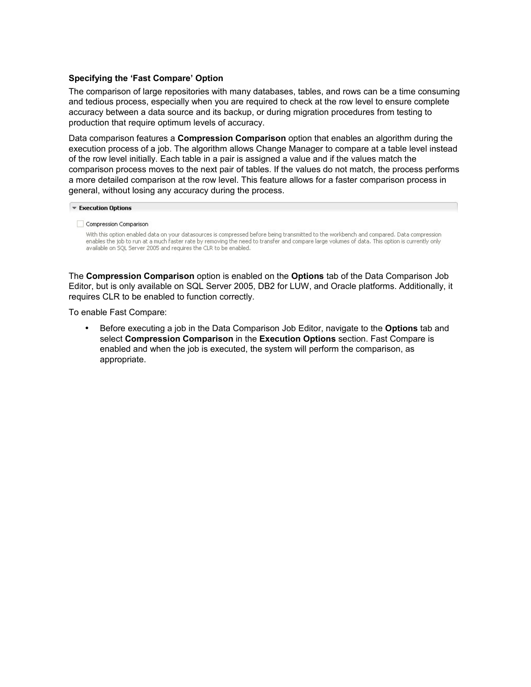### **Specifying the 'Fast Compare' Option**

The comparison of large repositories with many databases, tables, and rows can be a time consuming and tedious process, especially when you are required to check at the row level to ensure complete accuracy between a data source and its backup, or during migration procedures from testing to production that require optimum levels of accuracy.

Data comparison features a **Compression Comparison** option that enables an algorithm during the execution process of a job. The algorithm allows Change Manager to compare at a table level instead of the row level initially. Each table in a pair is assigned a value and if the values match the comparison process moves to the next pair of tables. If the values do not match, the process performs a more detailed comparison at the row level. This feature allows for a faster comparison process in general, without losing any accuracy during the process.

#### **Execution Options**

#### Compression Comparison

With this option enabled data on your datasources is compressed before being transmitted to the workbench and compared. Data compression enables the job to run at a much faster rate by removing the need to transfer and compare large volumes of data. This option is currently only available on SQL Server 2005 and requires the CLR to be enabled.

The **Compression Comparison** option is enabled on the **Options** tab of the Data Comparison Job Editor, but is only available on SQL Server 2005, DB2 for LUW, and Oracle platforms. Additionally, it requires CLR to be enabled to function correctly.

To enable Fast Compare:

• Before executing a job in the Data Comparison Job Editor, navigate to the **Options** tab and select **Compression Comparison** in the **Execution Options** section. Fast Compare is enabled and when the job is executed, the system will perform the comparison, as appropriate.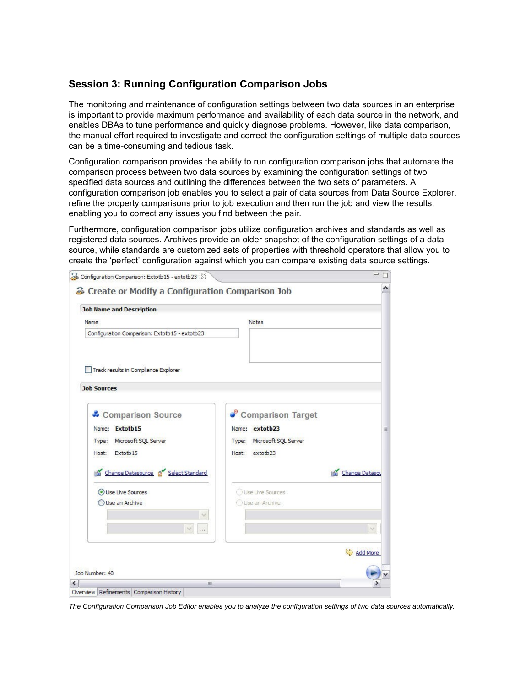# **Session 3: Running Configuration Comparison Jobs**

The monitoring and maintenance of configuration settings between two data sources in an enterprise is important to provide maximum performance and availability of each data source in the network, and enables DBAs to tune performance and quickly diagnose problems. However, like data comparison, the manual effort required to investigate and correct the configuration settings of multiple data sources can be a time-consuming and tedious task.

Configuration comparison provides the ability to run configuration comparison jobs that automate the comparison process between two data sources by examining the configuration settings of two specified data sources and outlining the differences between the two sets of parameters. A configuration comparison job enables you to select a pair of data sources from Data Source Explorer, refine the property comparisons prior to job execution and then run the job and view the results, enabling you to correct any issues you find between the pair.

Furthermore, configuration comparison jobs utilize configuration archives and standards as well as registered data sources. Archives provide an older snapshot of the configuration settings of a data source, while standards are customized sets of properties with threshold operators that allow you to create the 'perfect' configuration against which you can compare existing data source settings.

| <b>Job Name and Description</b>               |                            |                |
|-----------------------------------------------|----------------------------|----------------|
| Name                                          | Notes                      |                |
| Configuration Comparison: Extotb15 - extotb23 |                            |                |
| Track results in Compliance Explorer          |                            |                |
| <b>Job Sources</b>                            |                            |                |
| & Comparison Source                           | Comparison Target          |                |
| Name: Extotb15                                | Name: extotb23             |                |
| Microsoft SQL Server<br>Type:                 | Type: Microsoft SQL Server |                |
| Extotb15<br>Host:                             | extotb23<br>Host:          |                |
| Change Datasource p Select Standard           |                            | Change Datasou |
| Use Live Sources                              | Use Live Sources           |                |
| Use an Archive                                | Use an Archive             |                |
| v                                             |                            |                |
| $\cdots$                                      |                            |                |
|                                               |                            | Add More       |
|                                               |                            |                |

*The Configuration Comparison Job Editor enables you to analyze the configuration settings of two data sources automatically.*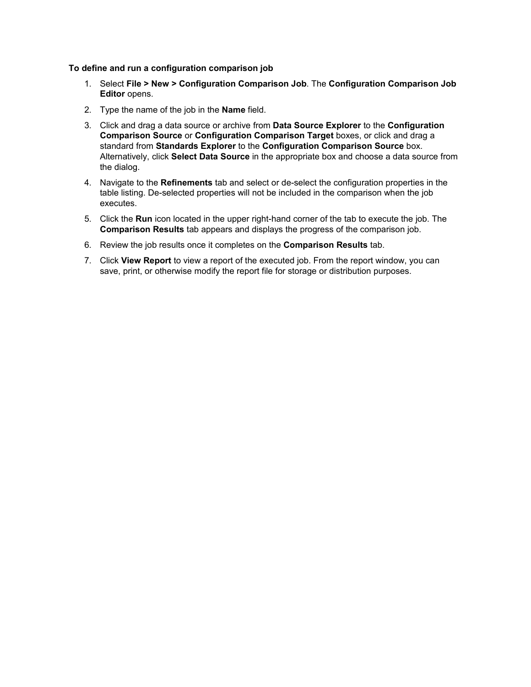### **To define and run a configuration comparison job**

- 1. Select **File > New > Configuration Comparison Job**. The **Configuration Comparison Job Editor** opens.
- 2. Type the name of the job in the **Name** field.
- 3. Click and drag a data source or archive from **Data Source Explorer** to the **Configuration Comparison Source** or **Configuration Comparison Target** boxes, or click and drag a standard from **Standards Explorer** to the **Configuration Comparison Source** box. Alternatively, click **Select Data Source** in the appropriate box and choose a data source from the dialog.
- 4. Navigate to the **Refinements** tab and select or de-select the configuration properties in the table listing. De-selected properties will not be included in the comparison when the job executes.
- 5. Click the **Run** icon located in the upper right-hand corner of the tab to execute the job. The **Comparison Results** tab appears and displays the progress of the comparison job.
- 6. Review the job results once it completes on the **Comparison Results** tab.
- 7. Click **View Report** to view a report of the executed job. From the report window, you can save, print, or otherwise modify the report file for storage or distribution purposes.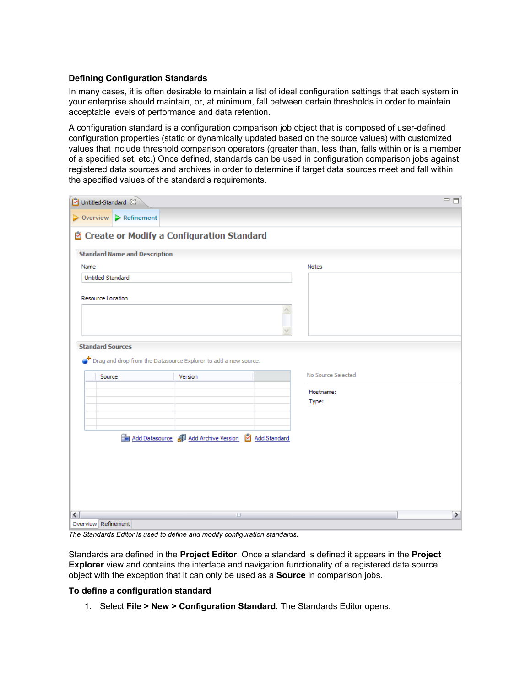### **Defining Configuration Standards**

In many cases, it is often desirable to maintain a list of ideal configuration settings that each system in your enterprise should maintain, or, at minimum, fall between certain thresholds in order to maintain acceptable levels of performance and data retention.

A configuration standard is a configuration comparison job object that is composed of user-defined configuration properties (static or dynamically updated based on the source values) with customized values that include threshold comparison operators (greater than, less than, falls within or is a member of a specified set, etc.) Once defined, standards can be used in configuration comparison jobs against registered data sources and archives in order to determine if target data sources meet and fall within the specified values of the standard's requirements.

|      |                           | Dintitled-Standard &                 |                                                                     |                    | $= 5$ |
|------|---------------------------|--------------------------------------|---------------------------------------------------------------------|--------------------|-------|
|      | $\triangleright$ Overview | $\triangleright$ Refinement          |                                                                     |                    |       |
|      |                           |                                      | <sup>2</sup> Create or Modify a Configuration Standard              |                    |       |
|      |                           | <b>Standard Name and Description</b> |                                                                     |                    |       |
| Name |                           |                                      |                                                                     | <b>Notes</b>       |       |
|      | Untitled-Standard         |                                      |                                                                     |                    |       |
|      | Resource Location         |                                      |                                                                     |                    |       |
|      | <b>Standard Sources</b>   |                                      |                                                                     |                    |       |
|      |                           |                                      | The Drag and drop from the Datasource Explorer to add a new source. |                    |       |
|      |                           |                                      |                                                                     |                    |       |
|      | Source                    |                                      | Version                                                             | No Source Selected |       |
|      |                           |                                      |                                                                     | Hostname:          |       |
|      |                           |                                      |                                                                     | Type:              |       |
|      |                           |                                      |                                                                     |                    |       |
|      |                           |                                      |                                                                     |                    |       |
|      |                           |                                      | Add Datasource @ Add Archive Version [ Add Standard                 |                    |       |
|      |                           |                                      |                                                                     |                    |       |
|      |                           |                                      |                                                                     |                    |       |
|      |                           |                                      |                                                                     |                    |       |
|      |                           |                                      |                                                                     |                    |       |
|      |                           |                                      |                                                                     |                    |       |
| ≺    |                           |                                      | $\rm III$                                                           |                    | ▶     |
|      | Overview Refinement       |                                      |                                                                     |                    |       |

*The Standards Editor is used to define and modify configuration standards.*

Standards are defined in the **Project Editor**. Once a standard is defined it appears in the **Project Explorer** view and contains the interface and navigation functionality of a registered data source object with the exception that it can only be used as a **Source** in comparison jobs.

### **To define a configuration standard**

1. Select **File > New > Configuration Standard**. The Standards Editor opens.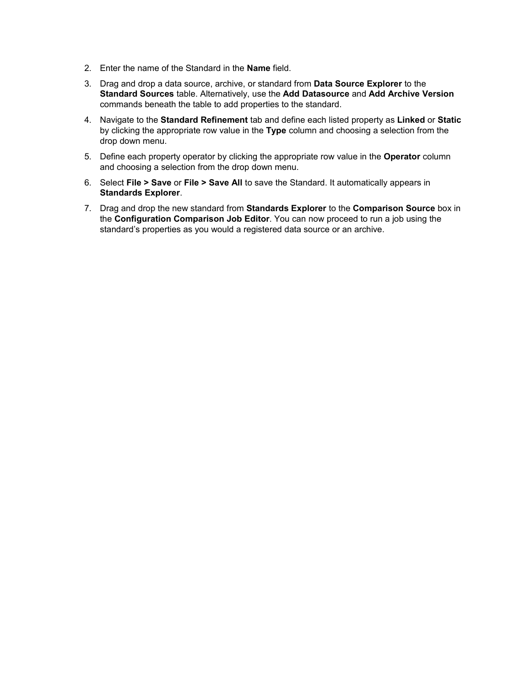- 2. Enter the name of the Standard in the **Name** field.
- 3. Drag and drop a data source, archive, or standard from **Data Source Explorer** to the **Standard Sources** table. Alternatively, use the **Add Datasource** and **Add Archive Version** commands beneath the table to add properties to the standard.
- 4. Navigate to the **Standard Refinement** tab and define each listed property as **Linked** or **Static** by clicking the appropriate row value in the **Type** column and choosing a selection from the drop down menu.
- 5. Define each property operator by clicking the appropriate row value in the **Operator** column and choosing a selection from the drop down menu.
- 6. Select **File > Save** or **File > Save All** to save the Standard. It automatically appears in **Standards Explorer**.
- 7. Drag and drop the new standard from **Standards Explorer** to the **Comparison Source** box in the **Configuration Comparison Job Editor**. You can now proceed to run a job using the standard's properties as you would a registered data source or an archive.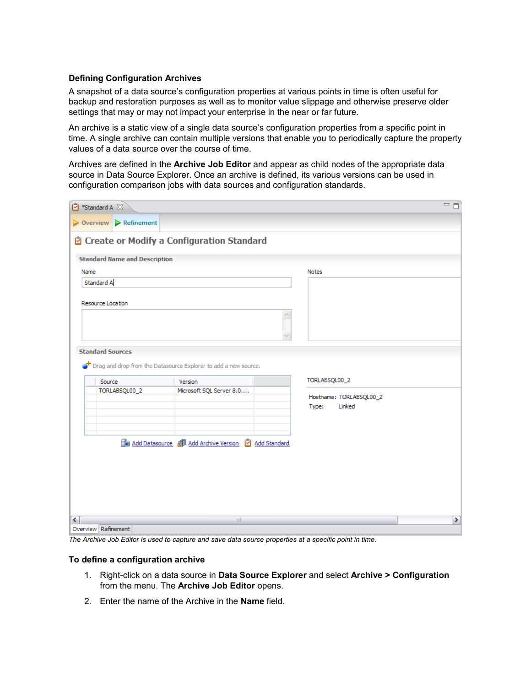### **Defining Configuration Archives**

A snapshot of a data source's configuration properties at various points in time is often useful for backup and restoration purposes as well as to monitor value slippage and otherwise preserve older settings that may or may not impact your enterprise in the near or far future.

An archive is a static view of a single data source's configuration properties from a specific point in time. A single archive can contain multiple versions that enable you to periodically capture the property values of a data source over the course of time.

Archives are defined in the **Archive Job Editor** and appear as child nodes of the appropriate data source in Data Source Explorer. Once an archive is defined, its various versions can be used in configuration comparison jobs with data sources and configuration standards.

| Standard A &        |                                                       |                                                                       |                         | $= \Box$      |
|---------------------|-------------------------------------------------------|-----------------------------------------------------------------------|-------------------------|---------------|
|                     | $\triangleright$ Overview $\triangleright$ Refinement |                                                                       |                         |               |
|                     |                                                       | <sup>2</sup> Create or Modify a Configuration Standard                |                         |               |
|                     |                                                       |                                                                       |                         |               |
|                     | <b>Standard Name and Description</b>                  |                                                                       |                         |               |
| Name                |                                                       |                                                                       | <b>Notes</b>            |               |
| Standard A          |                                                       |                                                                       |                         |               |
|                     | Resource Location                                     |                                                                       |                         |               |
|                     |                                                       |                                                                       |                         |               |
|                     |                                                       |                                                                       |                         |               |
|                     |                                                       |                                                                       |                         |               |
|                     | <b>Standard Sources</b>                               |                                                                       |                         |               |
|                     |                                                       | The Drag and drop from the Datasource Explorer to add a new source.   |                         |               |
|                     |                                                       |                                                                       |                         |               |
|                     | Source                                                | Version                                                               | TORLABSQL00_2           |               |
|                     | TORLABSQL00_2                                         | Microsoft SQL Server 8.0                                              | Hostname: TORLABSQL00_2 |               |
|                     |                                                       |                                                                       | Linked<br>Type:         |               |
|                     |                                                       |                                                                       |                         |               |
|                     |                                                       |                                                                       |                         |               |
|                     |                                                       | Tan Add Datasource <i>a</i> Add Archive Version <b>2</b> Add Standard |                         |               |
|                     |                                                       |                                                                       |                         |               |
|                     |                                                       |                                                                       |                         |               |
|                     |                                                       |                                                                       |                         |               |
|                     |                                                       |                                                                       |                         |               |
|                     |                                                       |                                                                       |                         |               |
| ≺                   |                                                       | Ш                                                                     |                         | $\rightarrow$ |
| Overview Refinement |                                                       |                                                                       |                         |               |

*The Archive Job Editor is used to capture and save data source properties at a specific point in time.*

### **To define a configuration archive**

- 1. Right-click on a data source in **Data Source Explorer** and select **Archive > Configuration** from the menu. The **Archive Job Editor** opens.
- 2. Enter the name of the Archive in the **Name** field.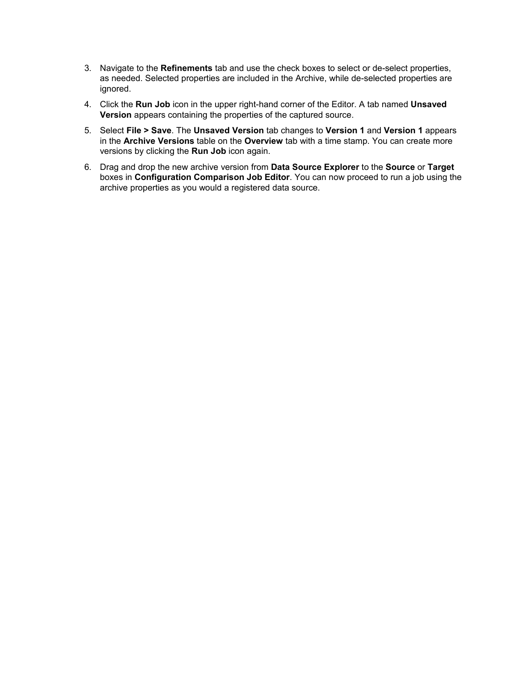- 3. Navigate to the **Refinements** tab and use the check boxes to select or de-select properties, as needed. Selected properties are included in the Archive, while de-selected properties are ignored.
- 4. Click the **Run Job** icon in the upper right-hand corner of the Editor. A tab named **Unsaved Version** appears containing the properties of the captured source.
- 5. Select **File > Save**. The **Unsaved Version** tab changes to **Version 1** and **Version 1** appears in the **Archive Versions** table on the **Overview** tab with a time stamp. You can create more versions by clicking the **Run Job** icon again.
- 6. Drag and drop the new archive version from **Data Source Explorer** to the **Source** or **Target** boxes in **Configuration Comparison Job Editor**. You can now proceed to run a job using the archive properties as you would a registered data source.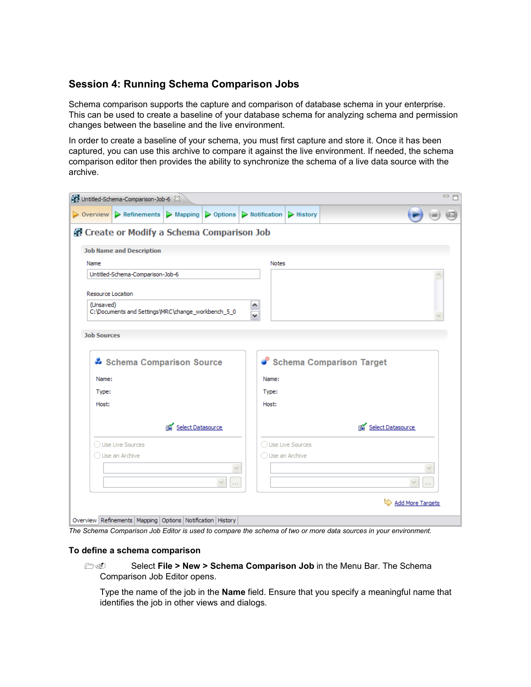# **Session 4: Running Schema Comparison Jobs**

Schema comparison supports the capture and comparison of database schema in your enterprise. This can be used to create a baseline of your database schema for analyzing schema and permission changes between the baseline and the live environment.

In order to create a baseline of your schema, you must first capture and store it. Once it has been captured, you can use this archive to compare it against the live environment. If needed, the schema comparison editor then provides the ability to synchronize the schema of a live data source with the archive.

| and Untitled-Schema-Comparison-Job-6 $23$                                                                                              |                  |                               |                          |        | □ 日 |
|----------------------------------------------------------------------------------------------------------------------------------------|------------------|-------------------------------|--------------------------|--------|-----|
| $\triangleright$ Overview $\triangleright$ Refinements $\triangleright$ Mapping $\triangleright$ Options $\triangleright$ Notification |                  | $\blacktriangleright$ History |                          |        |     |
| 望 Create or Modify a Schema Comparison Job                                                                                             |                  |                               |                          |        |     |
| <b>Job Name and Description</b>                                                                                                        |                  |                               |                          |        |     |
| Name                                                                                                                                   | <b>Notes</b>     |                               |                          |        |     |
| Untitled-Schema-Comparison-Job-6                                                                                                       |                  |                               |                          |        |     |
| <b>Resource Location</b><br>(Unsaved)<br>C:\Documents and Settings\MRC\change_workbench_5_0                                            |                  |                               |                          |        |     |
| <b>Job Sources</b>                                                                                                                     |                  |                               |                          |        |     |
| Schema Comparison Source                                                                                                               |                  |                               | Schema Comparison Target |        |     |
| Name:                                                                                                                                  | Name:            |                               |                          |        |     |
| Type:                                                                                                                                  | Type:            |                               |                          |        |     |
| Host:                                                                                                                                  | Host:            |                               |                          |        |     |
| Select Datasource                                                                                                                      |                  |                               | Select Datasource<br>略   |        |     |
| ◯ Use Live Sources                                                                                                                     |                  | ◯ Use Live Sources            |                          |        |     |
| ◯ Use an Archive                                                                                                                       | ◯ Use an Archive |                               |                          |        |     |
|                                                                                                                                        |                  |                               |                          |        |     |
| $\vee$<br>$\sim$                                                                                                                       |                  |                               |                          | $\sim$ |     |
|                                                                                                                                        |                  |                               | Add More Targets         |        |     |
| Overview Refinements   Mapping   Options   Notification   History                                                                      |                  |                               |                          |        |     |

*The Schema Comparison Job Editor is used to compare the schema of two or more data sources in your environment.*

### **To define a schema comparison**

**1. 2. Select File > New > Schema Comparison Job** in the Menu Bar. The Schema Comparison Job Editor opens.

Type the name of the job in the **Name** field. Ensure that you specify a meaningful name that identifies the job in other views and dialogs.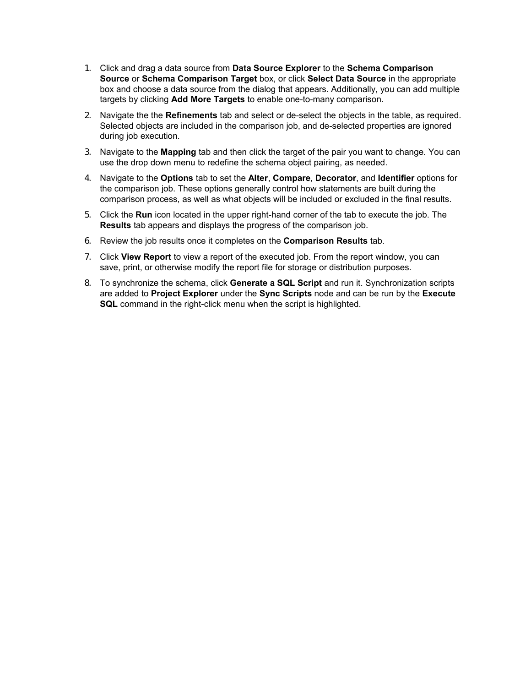- 1. Click and drag a data source from **Data Source Explorer** to the **Schema Comparison Source** or **Schema Comparison Target** box, or click **Select Data Source** in the appropriate box and choose a data source from the dialog that appears. Additionally, you can add multiple targets by clicking **Add More Targets** to enable one-to-many comparison.
- 2. Navigate the the **Refinements** tab and select or de-select the objects in the table, as required. Selected objects are included in the comparison job, and de-selected properties are ignored during job execution.
- 3. Navigate to the **Mapping** tab and then click the target of the pair you want to change. You can use the drop down menu to redefine the schema object pairing, as needed.
- 4. Navigate to the **Options** tab to set the **Alter**, **Compare**, **Decorator**, and **Identifier** options for the comparison job. These options generally control how statements are built during the comparison process, as well as what objects will be included or excluded in the final results.
- 5. Click the **Run** icon located in the upper right-hand corner of the tab to execute the job. The **Results** tab appears and displays the progress of the comparison job.
- 6. Review the job results once it completes on the **Comparison Results** tab.
- 7. Click **View Report** to view a report of the executed job. From the report window, you can save, print, or otherwise modify the report file for storage or distribution purposes.
- 8. To synchronize the schema, click **Generate a SQL Script** and run it. Synchronization scripts are added to **Project Explorer** under the **Sync Scripts** node and can be run by the **Execute SQL** command in the right-click menu when the script is highlighted.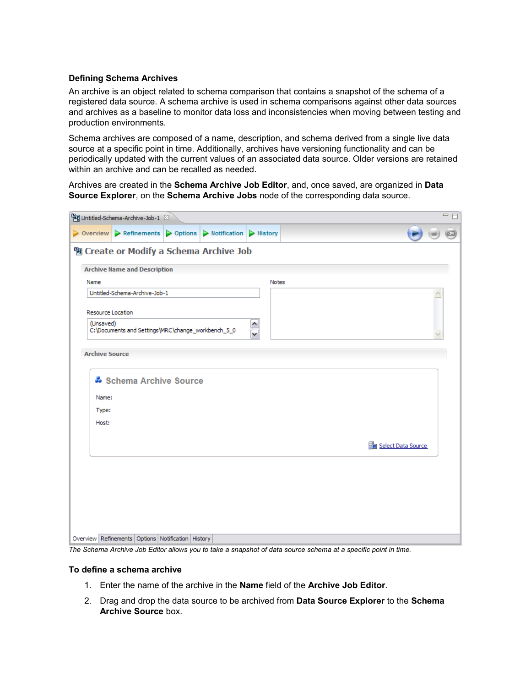### **Defining Schema Archives**

An archive is an object related to schema comparison that contains a snapshot of the schema of a registered data source. A schema archive is used in schema comparisons against other data sources and archives as a baseline to monitor data loss and inconsistencies when moving between testing and production environments.

Schema archives are composed of a name, description, and schema derived from a single live data source at a specific point in time. Additionally, archives have versioning functionality and can be periodically updated with the current values of an associated data source. Older versions are retained within an archive and can be recalled as needed.

Archives are created in the **Schema Archive Job Editor**, and, once saved, are organized in **Data Source Explorer**, on the **Schema Archive Jobs** node of the corresponding data source.

|                                         | $\Box$<br><sup>[일</sup> ] Untitled-Schema-Archive-Job-1 $23$                    |  |                        |              |                    |  |  |  |  |  |  |  |  |
|-----------------------------------------|---------------------------------------------------------------------------------|--|------------------------|--------------|--------------------|--|--|--|--|--|--|--|--|
|                                         | $\triangleright$ Overview $\triangleright$ Refinements $\triangleright$ Options |  | Notification   History |              |                    |  |  |  |  |  |  |  |  |
| 图 Create or Modify a Schema Archive Job |                                                                                 |  |                        |              |                    |  |  |  |  |  |  |  |  |
| <b>Archive Name and Description</b>     |                                                                                 |  |                        |              |                    |  |  |  |  |  |  |  |  |
| Name                                    |                                                                                 |  |                        | <b>Notes</b> |                    |  |  |  |  |  |  |  |  |
|                                         | Untitled-Schema-Archive-Job-1                                                   |  |                        |              |                    |  |  |  |  |  |  |  |  |
| Resource Location<br>(Unsaved)          | C:\Documents and Settings\MRC\change_workbench_5_0                              |  |                        |              |                    |  |  |  |  |  |  |  |  |
| <b>Archive Source</b>                   |                                                                                 |  |                        |              |                    |  |  |  |  |  |  |  |  |
| Name:                                   | Schema Archive Source                                                           |  |                        |              |                    |  |  |  |  |  |  |  |  |
| Type:                                   |                                                                                 |  |                        |              |                    |  |  |  |  |  |  |  |  |
| Host:                                   |                                                                                 |  |                        |              |                    |  |  |  |  |  |  |  |  |
|                                         |                                                                                 |  |                        |              | Select Data Source |  |  |  |  |  |  |  |  |
|                                         |                                                                                 |  |                        |              |                    |  |  |  |  |  |  |  |  |
|                                         |                                                                                 |  |                        |              |                    |  |  |  |  |  |  |  |  |
|                                         |                                                                                 |  |                        |              |                    |  |  |  |  |  |  |  |  |
|                                         |                                                                                 |  |                        |              |                    |  |  |  |  |  |  |  |  |
|                                         | Overview Refinements Options Notification History                               |  |                        |              |                    |  |  |  |  |  |  |  |  |

*The Schema Archive Job Editor allows you to take a snapshot of data source schema at a specific point in time.*

### **To define a schema archive**

- 1. Enter the name of the archive in the **Name** field of the **Archive Job Editor**.
- 2. Drag and drop the data source to be archived from **Data Source Explorer** to the **Schema Archive Source** box.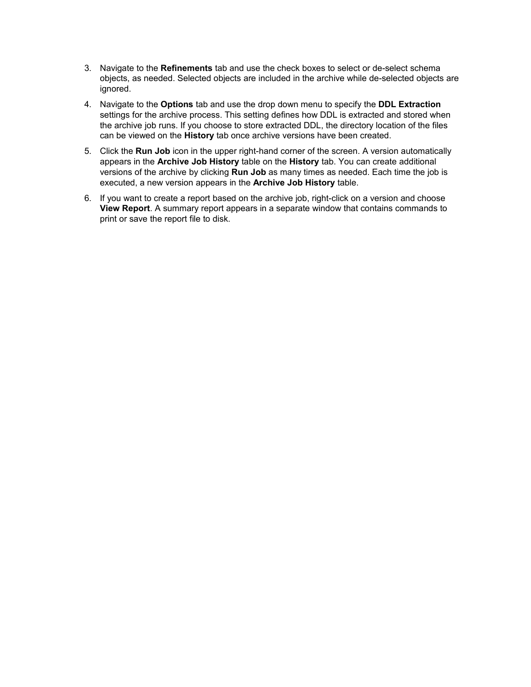- 3. Navigate to the **Refinements** tab and use the check boxes to select or de-select schema objects, as needed. Selected objects are included in the archive while de-selected objects are ignored.
- 4. Navigate to the **Options** tab and use the drop down menu to specify the **DDL Extraction** settings for the archive process. This setting defines how DDL is extracted and stored when the archive job runs. If you choose to store extracted DDL, the directory location of the files can be viewed on the **History** tab once archive versions have been created.
- 5. Click the **Run Job** icon in the upper right-hand corner of the screen. A version automatically appears in the **Archive Job History** table on the **History** tab. You can create additional versions of the archive by clicking **Run Job** as many times as needed. Each time the job is executed, a new version appears in the **Archive Job History** table.
- 6. If you want to create a report based on the archive job, right-click on a version and choose **View Report**. A summary report appears in a separate window that contains commands to print or save the report file to disk.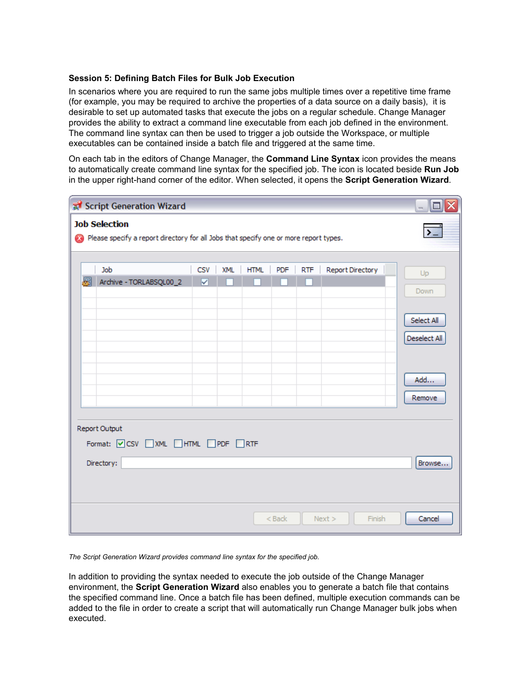### **Session 5: Defining Batch Files for Bulk Job Execution**

In scenarios where you are required to run the same jobs multiple times over a repetitive time frame (for example, you may be required to archive the properties of a data source on a daily basis), it is desirable to set up automated tasks that execute the jobs on a regular schedule. Change Manager provides the ability to extract a command line executable from each job defined in the environment. The command line syntax can then be used to trigger a job outside the Workspace, or multiple executables can be contained inside a batch file and triggered at the same time.

On each tab in the editors of Change Manager, the **Command Line Syntax** icon provides the means to automatically create command line syntax for the specified job. The icon is located beside **Run Job** in the upper right-hand corner of the editor. When selected, it opens the **Script Generation Wizard**.

| $  \Box $ $\times$<br>Script Generation Wizard                                                                          |            |            |             |          |            |                  |                            |  |  |  |  |  |
|-------------------------------------------------------------------------------------------------------------------------|------------|------------|-------------|----------|------------|------------------|----------------------------|--|--|--|--|--|
| <b>Job Selection</b><br>$\sum$<br>Please specify a report directory for all Jobs that specify one or more report types. |            |            |             |          |            |                  |                            |  |  |  |  |  |
| Job<br>曷                                                                                                                | <b>CSV</b> | <b>XML</b> | <b>HTML</b> | PDF      | <b>RTF</b> | Report Directory | Up                         |  |  |  |  |  |
| Archive - TORLABSQL00_2                                                                                                 | ⊽          |            |             |          |            |                  | Down                       |  |  |  |  |  |
|                                                                                                                         |            |            |             |          |            |                  | Select All<br>Deselect All |  |  |  |  |  |
|                                                                                                                         |            |            |             |          |            |                  | Add<br>Remove              |  |  |  |  |  |
| Report Output<br>Format: OCSV NML HTML PDF RTF                                                                          |            |            |             |          |            |                  |                            |  |  |  |  |  |
| Directory:<br>Browse                                                                                                    |            |            |             |          |            |                  |                            |  |  |  |  |  |
|                                                                                                                         |            |            |             | $<$ Back |            | Finish<br>Next   | Cancel                     |  |  |  |  |  |

*The Script Generation Wizard provides command line syntax for the specified job.* 

In addition to providing the syntax needed to execute the job outside of the Change Manager environment, the **Script Generation Wizard** also enables you to generate a batch file that contains the specified command line. Once a batch file has been defined, multiple execution commands can be added to the file in order to create a script that will automatically run Change Manager bulk jobs when executed.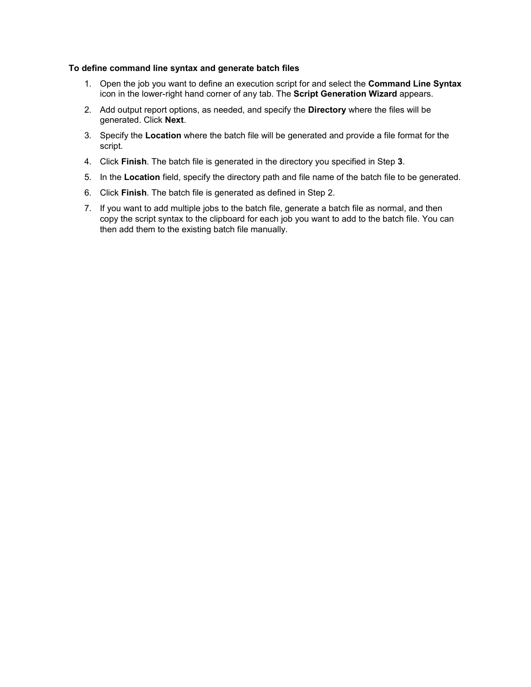### **To define command line syntax and generate batch files**

- 1. Open the job you want to define an execution script for and select the **Command Line Syntax** icon in the lower-right hand corner of any tab. The **Script Generation Wizard** appears.
- 2. Add output report options, as needed, and specify the **Directory** where the files will be generated. Click **Next**.
- 3. Specify the **Location** where the batch file will be generated and provide a file format for the script.
- 4. Click **Finish**. The batch file is generated in the directory you specified in Step **3**.
- 5. In the **Location** field, specify the directory path and file name of the batch file to be generated.
- 6. Click **Finish**. The batch file is generated as defined in Step 2.
- 7. If you want to add multiple jobs to the batch file, generate a batch file as normal, and then copy the script syntax to the clipboard for each job you want to add to the batch file. You can then add them to the existing batch file manually.